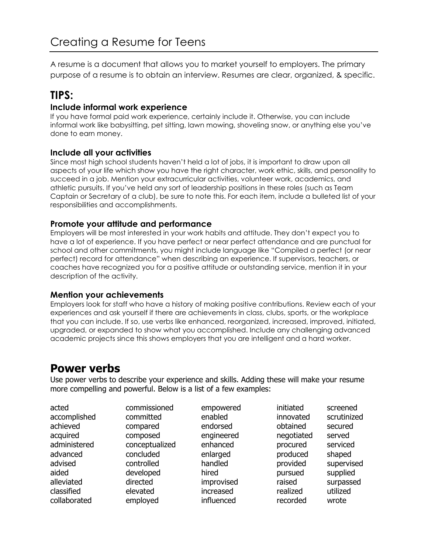A resume is a document that allows you to market yourself to employers. The primary purpose of a resume is to obtain an interview. Resumes are clear, organized, & specific.

# **TIPS:**

## **Include informal work experience**

If you have formal paid work experience, certainly include it. Otherwise, you can include informal work like babysitting, pet sitting, lawn mowing, shoveling snow, or anything else you've done to earn money.

## **Include all your activities**

Since most high school students haven't held a lot of jobs, it is important to draw upon all aspects of your life which show you have the right character, work ethic, skills, and personality to succeed in a job. Mention your extracurricular activities, volunteer work, academics, and athletic pursuits. If you've held any sort of leadership positions in these roles (such as Team Captain or Secretary of a club), be sure to note this. For each item, include a bulleted list of your responsibilities and accomplishments.

## **Promote your attitude and performance**

Employers will be most interested in your work habits and attitude. They don't expect you to have a lot of experience. If you have perfect or near perfect attendance and are punctual for school and other commitments, you might include language like "Compiled a perfect (or near perfect) record for attendance" when describing an experience. If supervisors, teachers, or coaches have recognized you for a positive attitude or outstanding service, mention it in your description of the activity.

### **Mention your achievements**

Employers look for staff who have a history of making positive contributions. Review each of your experiences and ask yourself if there are achievements in class, clubs, sports, or the workplace that you can include. If so, use verbs like enhanced, reorganized, increased, improved, initiated, upgraded, or expanded to show what you accomplished. Include any challenging advanced academic projects since this shows employers that you are intelligent and a hard worker.

## **Power verbs**

Use power verbs to describe your experience and skills. Adding these will make your resume more compelling and powerful. Below is a list of a few examples:

| acted        | commissioned   | empowered  | initiated  | screened    |
|--------------|----------------|------------|------------|-------------|
| accomplished | committed      | enabled    | innovated  | scrutinized |
| achieved     | compared       | endorsed   | obtained   | secured     |
| acquired     | composed       | engineered | negotiated | served      |
| administered | conceptualized | enhanced   | procured   | serviced    |
| advanced     | concluded      | enlarged   | produced   | shaped      |
| advised      | controlled     | handled    | provided   | supervised  |
| aided        | developed      | hired      | pursued    | supplied    |
| alleviated   | directed       | improvised | raised     | surpassed   |
| classified   | elevated       | increased  | realized   | utilized    |
| collaborated | employed       | influenced | recorded   | wrote       |